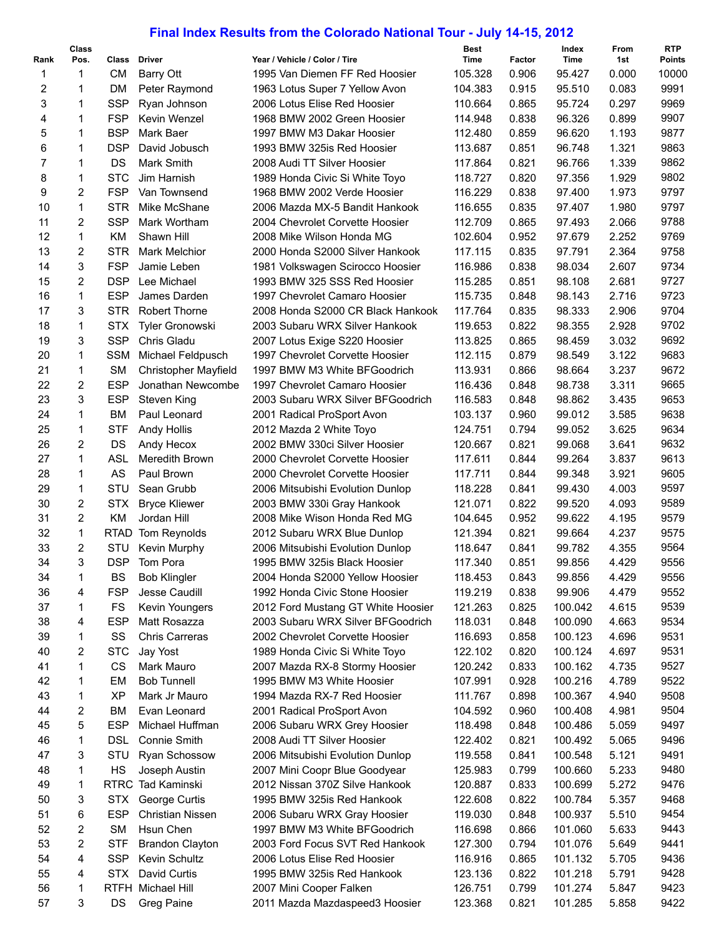## **Final Index Results from the Colorado National Tour - July 14-15, 2012**

| Rank           | Class<br>Pos.  | Class      | <b>Driver</b>               | Year / Vehicle / Color / Tire      | <b>Best</b><br>Time | Factor | Index<br>Time | From<br>1st | <b>RTP</b><br><b>Points</b> |
|----------------|----------------|------------|-----------------------------|------------------------------------|---------------------|--------|---------------|-------------|-----------------------------|
| 1              | 1              | <b>CM</b>  | Barry Ott                   | 1995 Van Diemen FF Red Hoosier     | 105.328             | 0.906  | 95.427        | 0.000       | 10000                       |
| 2              | 1              | DM         | Peter Raymond               | 1963 Lotus Super 7 Yellow Avon     | 104.383             | 0.915  | 95.510        | 0.083       | 9991                        |
| 3              | 1              | <b>SSP</b> | Ryan Johnson                | 2006 Lotus Elise Red Hoosier       | 110.664             | 0.865  | 95.724        | 0.297       | 9969                        |
| 4              | $\mathbf{1}$   | <b>FSP</b> | Kevin Wenzel                | 1968 BMW 2002 Green Hoosier        | 114.948             | 0.838  | 96.326        | 0.899       | 9907                        |
| 5              | 1              | <b>BSP</b> | Mark Baer                   | 1997 BMW M3 Dakar Hoosier          | 112.480             | 0.859  | 96.620        | 1.193       | 9877                        |
| 6              | 1              | <b>DSP</b> | David Jobusch               | 1993 BMW 325is Red Hoosier         | 113.687             | 0.851  | 96.748        | 1.321       | 9863                        |
| $\overline{7}$ | 1              | DS         | Mark Smith                  | 2008 Audi TT Silver Hoosier        | 117.864             | 0.821  | 96.766        | 1.339       | 9862                        |
| 8              | 1              | <b>STC</b> | Jim Harnish                 | 1989 Honda Civic Si White Toyo     | 118.727             | 0.820  | 97.356        | 1.929       | 9802                        |
| 9              | 2              | <b>FSP</b> | Van Townsend                | 1968 BMW 2002 Verde Hoosier        | 116.229             | 0.838  | 97.400        | 1.973       | 9797                        |
| 10             | 1              | <b>STR</b> | Mike McShane                | 2006 Mazda MX-5 Bandit Hankook     | 116.655             | 0.835  | 97.407        | 1.980       | 9797                        |
| 11             | $\overline{2}$ | <b>SSP</b> | Mark Wortham                | 2004 Chevrolet Corvette Hoosier    | 112.709             | 0.865  | 97.493        | 2.066       | 9788                        |
| 12             | $\mathbf{1}$   | KM         | Shawn Hill                  | 2008 Mike Wilson Honda MG          | 102.604             | 0.952  | 97.679        | 2.252       | 9769                        |
| 13             | $\overline{2}$ | <b>STR</b> | <b>Mark Melchior</b>        | 2000 Honda S2000 Silver Hankook    | 117.115             | 0.835  | 97.791        | 2.364       | 9758                        |
| 14             | 3              | <b>FSP</b> | Jamie Leben                 | 1981 Volkswagen Scirocco Hoosier   | 116.986             | 0.838  | 98.034        | 2.607       | 9734                        |
| 15             | $\overline{2}$ | <b>DSP</b> | Lee Michael                 | 1993 BMW 325 SSS Red Hoosier       | 115.285             | 0.851  | 98.108        | 2.681       | 9727                        |
| 16             | $\mathbf{1}$   | <b>ESP</b> | James Darden                | 1997 Chevrolet Camaro Hoosier      | 115.735             | 0.848  | 98.143        | 2.716       | 9723                        |
| 17             | 3              | <b>STR</b> | <b>Robert Thorne</b>        | 2008 Honda S2000 CR Black Hankook  | 117.764             | 0.835  | 98.333        | 2.906       | 9704                        |
| 18             | 1              | <b>STX</b> | <b>Tyler Gronowski</b>      | 2003 Subaru WRX Silver Hankook     | 119.653             | 0.822  | 98.355        | 2.928       | 9702                        |
| 19             | 3              | <b>SSP</b> | Chris Gladu                 | 2007 Lotus Exige S220 Hoosier      | 113.825             | 0.865  | 98.459        | 3.032       | 9692                        |
| 20             | 1              | <b>SSM</b> | Michael Feldpusch           | 1997 Chevrolet Corvette Hoosier    | 112.115             | 0.879  | 98.549        | 3.122       | 9683                        |
| 21             | 1              | <b>SM</b>  | <b>Christopher Mayfield</b> | 1997 BMW M3 White BFGoodrich       | 113.931             | 0.866  | 98.664        | 3.237       | 9672                        |
| 22             | 2              | <b>ESP</b> | Jonathan Newcombe           | 1997 Chevrolet Camaro Hoosier      | 116.436             | 0.848  | 98.738        | 3.311       | 9665                        |
| 23             | 3              | <b>ESP</b> | Steven King                 | 2003 Subaru WRX Silver BFGoodrich  | 116.583             | 0.848  | 98.862        | 3.435       | 9653                        |
| 24             | $\mathbf{1}$   | <b>BM</b>  | Paul Leonard                | 2001 Radical ProSport Avon         | 103.137             | 0.960  | 99.012        | 3.585       | 9638                        |
| 25             | 1              | <b>STF</b> | <b>Andy Hollis</b>          | 2012 Mazda 2 White Toyo            | 124.751             | 0.794  | 99.052        | 3.625       | 9634                        |
| 26             | 2              | DS         | Andy Hecox                  | 2002 BMW 330ci Silver Hoosier      | 120.667             | 0.821  | 99.068        | 3.641       | 9632                        |
| 27             | $\mathbf{1}$   | ASL        | Meredith Brown              | 2000 Chevrolet Corvette Hoosier    | 117.611             | 0.844  | 99.264        | 3.837       | 9613                        |
| 28             | 1              | AS         | Paul Brown                  | 2000 Chevrolet Corvette Hoosier    | 117.711             | 0.844  | 99.348        | 3.921       | 9605                        |
| 29             | $\mathbf{1}$   | STU        | Sean Grubb                  | 2006 Mitsubishi Evolution Dunlop   | 118.228             | 0.841  | 99.430        | 4.003       | 9597                        |
| 30             | $\overline{2}$ | <b>STX</b> | <b>Bryce Kliewer</b>        | 2003 BMW 330i Gray Hankook         | 121.071             | 0.822  | 99.520        | 4.093       | 9589                        |
| 31             | 2              | KM         | Jordan Hill                 | 2008 Mike Wison Honda Red MG       | 104.645             | 0.952  | 99.622        | 4.195       | 9579                        |
| 32             | $\mathbf 1$    |            | RTAD Tom Reynolds           | 2012 Subaru WRX Blue Dunlop        | 121.394             | 0.821  | 99.664        | 4.237       | 9575                        |
| 33             | 2              | STU        | Kevin Murphy                | 2006 Mitsubishi Evolution Dunlop   | 118.647             | 0.841  | 99.782        | 4.355       | 9564                        |
| 34             | 3              | <b>DSP</b> | Tom Pora                    | 1995 BMW 325is Black Hoosier       | 117.340             | 0.851  | 99.856        | 4.429       | 9556                        |
| 34             | 1              | BS         | <b>Bob Klingler</b>         | 2004 Honda S2000 Yellow Hoosier    | 118.453             | 0.843  | 99.856        | 4.429       | 9556                        |
| 36             | 4              | <b>FSP</b> | Jesse Caudill               | 1992 Honda Civic Stone Hoosier     | 119.219             | 0.838  | 99.906        | 4.479       | 9552                        |
| 37             | 1              | <b>FS</b>  | Kevin Youngers              | 2012 Ford Mustang GT White Hoosier | 121.263             | 0.825  | 100.042       | 4.615       | 9539                        |
| 38             | 4              | <b>ESP</b> | Matt Rosazza                | 2003 Subaru WRX Silver BFGoodrich  | 118.031             | 0.848  | 100.090       | 4.663       | 9534                        |
| 39             | 1              | SS         | <b>Chris Carreras</b>       | 2002 Chevrolet Corvette Hoosier    | 116.693             | 0.858  | 100.123       | 4.696       | 9531                        |
| 40             | 2              | <b>STC</b> | Jay Yost                    | 1989 Honda Civic Si White Toyo     | 122.102             | 0.820  | 100.124       | 4.697       | 9531                        |
| 41             | 1              | CS         | Mark Mauro                  | 2007 Mazda RX-8 Stormy Hoosier     | 120.242             | 0.833  | 100.162       | 4.735       | 9527                        |
| 42             | 1              | EM         | <b>Bob Tunnell</b>          | 1995 BMW M3 White Hoosier          | 107.991             | 0.928  | 100.216       | 4.789       | 9522                        |
| 43             | 1              | <b>XP</b>  | Mark Jr Mauro               | 1994 Mazda RX-7 Red Hoosier        | 111.767             | 0.898  | 100.367       | 4.940       | 9508                        |
| 44             | 2              | <b>BM</b>  | Evan Leonard                | 2001 Radical ProSport Avon         | 104.592             | 0.960  | 100.408       | 4.981       | 9504                        |
| 45             | 5              | <b>ESP</b> | Michael Huffman             | 2006 Subaru WRX Grey Hoosier       | 118.498             | 0.848  | 100.486       | 5.059       | 9497                        |
| 46             | 1              | <b>DSL</b> | <b>Connie Smith</b>         | 2008 Audi TT Silver Hoosier        | 122.402             | 0.821  | 100.492       | 5.065       | 9496                        |
| 47             | 3              | STU        | <b>Ryan Schossow</b>        | 2006 Mitsubishi Evolution Dunlop   | 119.558             | 0.841  | 100.548       | 5.121       | 9491                        |
| 48             | 1              | HS         | Joseph Austin               | 2007 Mini Coopr Blue Goodyear      | 125.983             | 0.799  | 100.660       | 5.233       | 9480                        |
| 49             | 1              |            | RTRC Tad Kaminski           | 2012 Nissan 370Z Silve Hankook     | 120.887             | 0.833  | 100.699       | 5.272       | 9476                        |
| 50             | 3              | <b>STX</b> | George Curtis               | 1995 BMW 325is Red Hankook         | 122.608             | 0.822  | 100.784       | 5.357       | 9468                        |
| 51             | 6              | <b>ESP</b> | <b>Christian Nissen</b>     | 2006 Subaru WRX Gray Hoosier       | 119.030             | 0.848  | 100.937       | 5.510       | 9454                        |
| 52             | 2              | <b>SM</b>  | Hsun Chen                   | 1997 BMW M3 White BFGoodrich       | 116.698             | 0.866  | 101.060       | 5.633       | 9443                        |
| 53             | 2              | <b>STF</b> | <b>Brandon Clayton</b>      | 2003 Ford Focus SVT Red Hankook    | 127.300             | 0.794  | 101.076       | 5.649       | 9441                        |
| 54             | 4              | <b>SSP</b> | Kevin Schultz               | 2006 Lotus Elise Red Hoosier       | 116.916             | 0.865  | 101.132       | 5.705       | 9436                        |
| 55             | 4              | STX        | David Curtis                | 1995 BMW 325is Red Hankook         | 123.136             | 0.822  | 101.218       | 5.791       | 9428                        |
| 56             | 1              |            | RTFH Michael Hill           | 2007 Mini Cooper Falken            | 126.751             | 0.799  | 101.274       | 5.847       | 9423                        |
| 57             | 3              | DS         | Greg Paine                  | 2011 Mazda Mazdaspeed3 Hoosier     | 123.368             | 0.821  | 101.285       | 5.858       | 9422                        |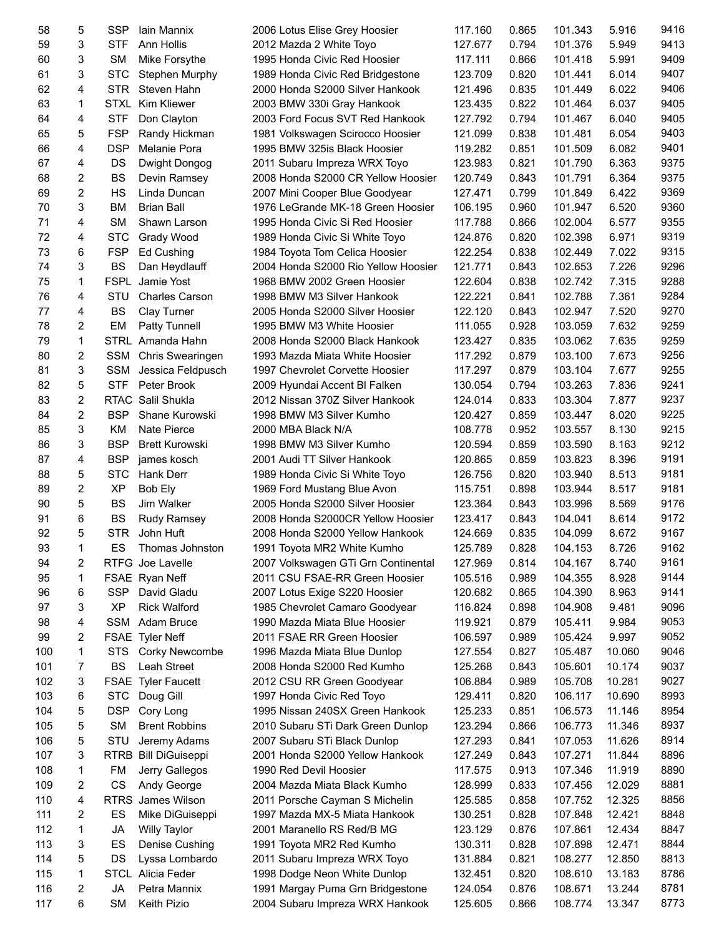| 58  | 5              | <b>SSP</b>  | Iain Mannix               | 2006 Lotus Elise Grey Hoosier       | 117.160 | 0.865 | 101.343 | 5.916  | 9416 |
|-----|----------------|-------------|---------------------------|-------------------------------------|---------|-------|---------|--------|------|
| 59  | 3              | <b>STF</b>  | Ann Hollis                | 2012 Mazda 2 White Toyo             | 127.677 | 0.794 | 101.376 | 5.949  | 9413 |
| 60  | 3              | <b>SM</b>   | Mike Forsythe             | 1995 Honda Civic Red Hoosier        | 117.111 | 0.866 | 101.418 | 5.991  | 9409 |
| 61  | 3              | <b>STC</b>  | Stephen Murphy            | 1989 Honda Civic Red Bridgestone    | 123.709 | 0.820 | 101.441 | 6.014  | 9407 |
| 62  | 4              | <b>STR</b>  | Steven Hahn               | 2000 Honda S2000 Silver Hankook     | 121.496 | 0.835 | 101.449 | 6.022  | 9406 |
| 63  | 1              |             | STXL Kim Kliewer          | 2003 BMW 330i Gray Hankook          | 123.435 | 0.822 | 101.464 | 6.037  | 9405 |
| 64  | 4              | <b>STF</b>  | Don Clayton               | 2003 Ford Focus SVT Red Hankook     | 127.792 | 0.794 | 101.467 | 6.040  | 9405 |
| 65  | 5              | <b>FSP</b>  | Randy Hickman             | 1981 Volkswagen Scirocco Hoosier    | 121.099 | 0.838 | 101.481 | 6.054  | 9403 |
| 66  | 4              | <b>DSP</b>  | Melanie Pora              | 1995 BMW 325is Black Hoosier        | 119.282 | 0.851 | 101.509 | 6.082  | 9401 |
| 67  | 4              | DS          | Dwight Dongog             | 2011 Subaru Impreza WRX Toyo        | 123.983 | 0.821 | 101.790 | 6.363  | 9375 |
| 68  | 2              | <b>BS</b>   | Devin Ramsey              | 2008 Honda S2000 CR Yellow Hoosier  | 120.749 | 0.843 | 101.791 | 6.364  | 9375 |
| 69  | $\overline{2}$ | HS          | Linda Duncan              | 2007 Mini Cooper Blue Goodyear      | 127.471 | 0.799 | 101.849 | 6.422  | 9369 |
| 70  | 3              | <b>BM</b>   | <b>Brian Ball</b>         | 1976 LeGrande MK-18 Green Hoosier   | 106.195 | 0.960 | 101.947 | 6.520  | 9360 |
| 71  | 4              | <b>SM</b>   | Shawn Larson              | 1995 Honda Civic Si Red Hoosier     | 117.788 | 0.866 | 102.004 | 6.577  | 9355 |
|     |                |             |                           |                                     |         |       |         |        | 9319 |
| 72  | 4              | <b>STC</b>  | Grady Wood                | 1989 Honda Civic Si White Toyo      | 124.876 | 0.820 | 102.398 | 6.971  |      |
| 73  | 6              | <b>FSP</b>  | Ed Cushing                | 1984 Toyota Tom Celica Hoosier      | 122.254 | 0.838 | 102.449 | 7.022  | 9315 |
| 74  | 3              | <b>BS</b>   | Dan Heydlauff             | 2004 Honda S2000 Rio Yellow Hoosier | 121.771 | 0.843 | 102.653 | 7.226  | 9296 |
| 75  | 1              |             | <b>FSPL</b> Jamie Yost    | 1968 BMW 2002 Green Hoosier         | 122.604 | 0.838 | 102.742 | 7.315  | 9288 |
| 76  | 4              | STU         | <b>Charles Carson</b>     | 1998 BMW M3 Silver Hankook          | 122.221 | 0.841 | 102.788 | 7.361  | 9284 |
| 77  | 4              | <b>BS</b>   | Clay Turner               | 2005 Honda S2000 Silver Hoosier     | 122.120 | 0.843 | 102.947 | 7.520  | 9270 |
| 78  | $\overline{2}$ | EM          | <b>Patty Tunnell</b>      | 1995 BMW M3 White Hoosier           | 111.055 | 0.928 | 103.059 | 7.632  | 9259 |
| 79  | 1              |             | STRL Amanda Hahn          | 2008 Honda S2000 Black Hankook      | 123.427 | 0.835 | 103.062 | 7.635  | 9259 |
| 80  | 2              | <b>SSM</b>  | Chris Swearingen          | 1993 Mazda Miata White Hoosier      | 117.292 | 0.879 | 103.100 | 7.673  | 9256 |
| 81  | 3              | <b>SSM</b>  | Jessica Feldpusch         | 1997 Chevrolet Corvette Hoosier     | 117.297 | 0.879 | 103.104 | 7.677  | 9255 |
| 82  | 5              | <b>STF</b>  | Peter Brook               | 2009 Hyundai Accent BI Falken       | 130.054 | 0.794 | 103.263 | 7.836  | 9241 |
| 83  | 2              |             | RTAC Salil Shukla         | 2012 Nissan 370Z Silver Hankook     | 124.014 | 0.833 | 103.304 | 7.877  | 9237 |
| 84  | 2              | <b>BSP</b>  | Shane Kurowski            | 1998 BMW M3 Silver Kumho            | 120.427 | 0.859 | 103.447 | 8.020  | 9225 |
| 85  | 3              | ΚM          | <b>Nate Pierce</b>        | 2000 MBA Black N/A                  | 108.778 | 0.952 | 103.557 | 8.130  | 9215 |
| 86  | 3              | <b>BSP</b>  | <b>Brett Kurowski</b>     | 1998 BMW M3 Silver Kumho            | 120.594 | 0.859 | 103.590 | 8.163  | 9212 |
| 87  | 4              | <b>BSP</b>  | james kosch               | 2001 Audi TT Silver Hankook         | 120.865 | 0.859 | 103.823 | 8.396  | 9191 |
| 88  | 5              | <b>STC</b>  | Hank Derr                 | 1989 Honda Civic Si White Toyo      | 126.756 | 0.820 | 103.940 | 8.513  | 9181 |
| 89  | 2              | XP          | Bob Ely                   | 1969 Ford Mustang Blue Avon         | 115.751 | 0.898 | 103.944 | 8.517  | 9181 |
| 90  | 5              | <b>BS</b>   | Jim Walker                | 2005 Honda S2000 Silver Hoosier     | 123.364 | 0.843 | 103.996 | 8.569  | 9176 |
| 91  | 6              | <b>BS</b>   | <b>Rudy Ramsey</b>        | 2008 Honda S2000CR Yellow Hoosier   | 123.417 | 0.843 | 104.041 | 8.614  | 9172 |
| 92  | 5              | <b>STR</b>  | John Huft                 | 2008 Honda S2000 Yellow Hankook     | 124.669 | 0.835 | 104.099 | 8.672  | 9167 |
| 93  | 1              | ES          | Thomas Johnston           | 1991 Toyota MR2 White Kumho         | 125.789 | 0.828 | 104.153 | 8.726  | 9162 |
| 94  | 2              |             | RTFG Joe Lavelle          | 2007 Volkswagen GTi Grn Continental | 127.969 | 0.814 | 104.167 | 8.740  | 9161 |
| 95  | 1              |             | FSAE Ryan Neff            | 2011 CSU FSAE-RR Green Hoosier      | 105.516 | 0.989 | 104.355 | 8.928  | 9144 |
| 96  | 6              | <b>SSP</b>  | David Gladu               | 2007 Lotus Exige S220 Hoosier       | 120.682 | 0.865 | 104.390 | 8.963  | 9141 |
| 97  | 3              | XP          | <b>Rick Walford</b>       | 1985 Chevrolet Camaro Goodyear      | 116.824 | 0.898 | 104.908 | 9.481  | 9096 |
| 98  | 4              | <b>SSM</b>  | Adam Bruce                | 1990 Mazda Miata Blue Hoosier       | 119.921 | 0.879 | 105.411 | 9.984  | 9053 |
| 99  | 2              |             | FSAE Tyler Neff           | 2011 FSAE RR Green Hoosier          | 106.597 | 0.989 | 105.424 | 9.997  | 9052 |
| 100 | 1              | <b>STS</b>  | Corky Newcombe            | 1996 Mazda Miata Blue Dunlop        |         | 0.827 | 105.487 | 10.060 | 9046 |
|     |                |             |                           |                                     | 127.554 |       |         |        |      |
| 101 | 7              | <b>BS</b>   | Leah Street               | 2008 Honda S2000 Red Kumho          | 125.268 | 0.843 | 105.601 | 10.174 | 9037 |
| 102 | 3              |             | <b>FSAE Tyler Faucett</b> | 2012 CSU RR Green Goodyear          | 106.884 | 0.989 | 105.708 | 10.281 | 9027 |
| 103 | 6              | <b>STC</b>  | Doug Gill                 | 1997 Honda Civic Red Toyo           | 129.411 | 0.820 | 106.117 | 10.690 | 8993 |
| 104 | 5              | <b>DSP</b>  | Cory Long                 | 1995 Nissan 240SX Green Hankook     | 125.233 | 0.851 | 106.573 | 11.146 | 8954 |
| 105 | 5              | <b>SM</b>   | <b>Brent Robbins</b>      | 2010 Subaru STi Dark Green Dunlop   | 123.294 | 0.866 | 106.773 | 11.346 | 8937 |
| 106 | 5              | STU         | Jeremy Adams              | 2007 Subaru STi Black Dunlop        | 127.293 | 0.841 | 107.053 | 11.626 | 8914 |
| 107 | 3              |             | RTRB Bill DiGuiseppi      | 2001 Honda S2000 Yellow Hankook     | 127.249 | 0.843 | 107.271 | 11.844 | 8896 |
| 108 | 1              | FM          | Jerry Gallegos            | 1990 Red Devil Hoosier              | 117.575 | 0.913 | 107.346 | 11.919 | 8890 |
| 109 | 2              | CS          | Andy George               | 2004 Mazda Miata Black Kumho        | 128.999 | 0.833 | 107.456 | 12.029 | 8881 |
| 110 | 4              | <b>RTRS</b> | James Wilson              | 2011 Porsche Cayman S Michelin      | 125.585 | 0.858 | 107.752 | 12.325 | 8856 |
| 111 | 2              | ES          | Mike DiGuiseppi           | 1997 Mazda MX-5 Miata Hankook       | 130.251 | 0.828 | 107.848 | 12.421 | 8848 |
| 112 | 1              | JA          | <b>Willy Taylor</b>       | 2001 Maranello RS Red/B MG          | 123.129 | 0.876 | 107.861 | 12.434 | 8847 |
| 113 | 3              | ES          | Denise Cushing            | 1991 Toyota MR2 Red Kumho           | 130.311 | 0.828 | 107.898 | 12.471 | 8844 |
| 114 | 5              | DS          | Lyssa Lombardo            | 2011 Subaru Impreza WRX Toyo        | 131.884 | 0.821 | 108.277 | 12.850 | 8813 |
| 115 | 1              |             | STCL Alicia Feder         | 1998 Dodge Neon White Dunlop        | 132.451 | 0.820 | 108.610 | 13.183 | 8786 |
| 116 | 2              | JA          | Petra Mannix              | 1991 Margay Puma Grn Bridgestone    | 124.054 | 0.876 | 108.671 | 13.244 | 8781 |
| 117 | 6              | SM          | Keith Pizio               | 2004 Subaru Impreza WRX Hankook     | 125.605 | 0.866 | 108.774 | 13.347 | 8773 |